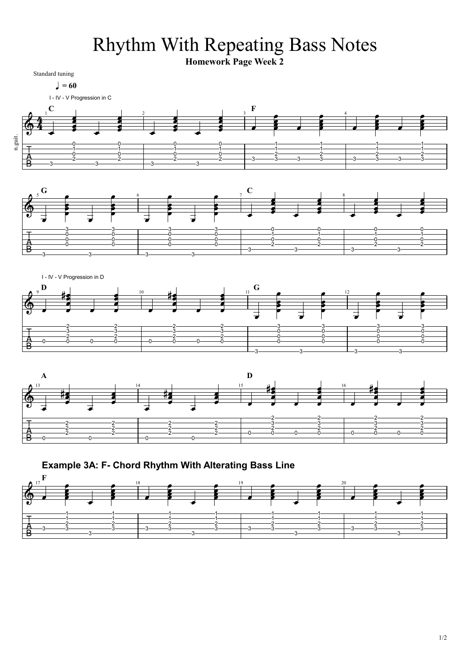Rhythm With Repeating Bass Notes

**Homework Page Week 2**

Standard tuning  $l = 60$